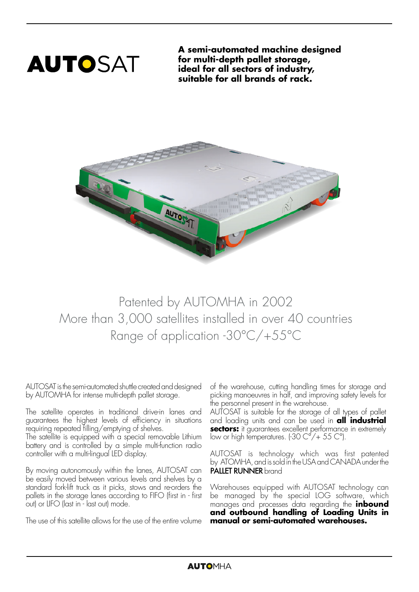

**A semi-automated machine designed for multi-depth pallet storage, ideal for all sectors of industry, suitable for all brands of rack.**



Patented by AUTOMHA in 2002 More than 3,000 satellites installed in over 40 countries Range of application -30°C/+55°C

AUTOSAT is the semi-automated shuttle created and designed by AUTOMHA for intense multi-depth pallet storage.

The satellite operates in traditional drive-in lanes and guarantees the highest levels of efficiency in situations requiring repeated filling/emptying of shelves.

The satellite is equipped with  $\alpha$  special removable Lithium battery and is controlled by a simple multi-function radio controller with a multi-lingual LED display.

By moving autonomously within the lanes, AUTOSAT can be easily moved between various levels and shelves by a standard fork-lift truck as it picks, stows and re-orders the pallets in the storage lanes according to FIFO (first in - first out) or LIFO (last in - last out) mode.

The use of this satellite allows for the use of the entire volume

of the warehouse, cutting handling times for storage and picking manoeuvres in half, and improving safety levels for the personnel present in the warehouse.

AUTOSAT is suitable for the storage of all types of pallet and loading units and can be used in **all industrial sectors:** it guarantees excellent performance in extremely low or high temperatures. (-30 C°/+ 55 C°).

AUTOSAT is technology which was first patented by ATOMHA, and is sold in the USA and CANADA under the PALLET RUNNER brand

Warehouses equipped with AUTOSAT technology can be managed by the special LOG software, which manages and processes data regarding the **inbound and outbound handling of Loading Units in manual or semi-automated warehouses.**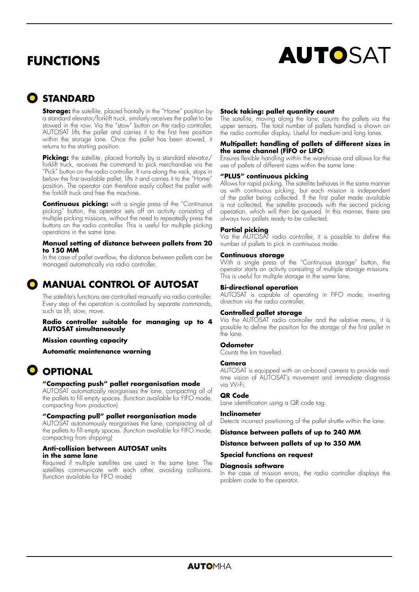# **FUNCTIONS**

# **AUTOSAT**

### **D** STANDARD

**Storage:** the satellite, placed frontally in the "Home" position by a standard elevator/forklift truck, similarly receives the pallet to be stowed in the row. Via the "stow" button on the radio controller, AUTOSAT lifts the pallet and carries it to the first free position within the storage lane. Once the pallet has been stowed, it returns to the starting position.

**Picking:** the satellite, placed frontally by a standard elevator/ forklift truck, receives the command to pick merchandise via the "Pick" button on the radio controller. It runs along the rack, stops in below the first available pallet, lifts it and carries it to the "Home" position. The operator can therefore easily collect the pallet with the forklift truck and free the machine.

**Continuous picking:** with a single press of the "Continuous picking" button, the operator sets off an activity consisting of multiple picking missions, without the need to repeatedly press the buttons on the radio controller. This is useful for multiple picking operations in the same lane.

#### **Manual setting of distance between pallets from 20 to 150 MM**

In the case of pallet overflow, the distance between pallets can be managed automatically via radio controller.



### **MANUAL CONTROL OF AUTOSAT**

The satellite's functions are controlled manually via radio controller. Every step of the operation is controlled by separate commands, such as lift, stow, move.

#### **Radio controller suitable for managing up to 4 AUTOSAT simultaneously**

**Mission counting capacity**

**Automatic maintenance warning**

### **O** OPTIONAL

#### **"Compacting push" pallet reorganisation mode**

AUTOSAT automatically reorganises the lane, compacting all of the pallets to fill empty spaces. (function available for FIFO mode, compacting from production)

#### **"Compacting pull" pallet reorganisation mode**

AUTOSAT autonomously reorganises the lane, compacting all of the pallets to fill empty spaces. (function available for FIFO mode, compacting from shipping)

#### **Anti-collision between AUTOSAT units in the same lane**

Required if multiple satellites are used in the same lane. The satellites communicate with each other, avoiding collisions. (function available for FIFO mode)

#### **Stock taking: pallet quantity count**

The satellite, moving along the lane, counts the pallets via the upper sensors. The total number of pallets handled is shown on the radio controller display. Useful for medium and long lanes.

#### **Multipallet: handling of pallets of different sizes in the same channel (FIFO or LIFO**)

Ensures flexible handling within the warehouse and allows for the use of pallets of different sizes within the same lane.

#### **"PLUS" continuous picking**

Allows for rapid picking. The satellite behaves in the same manner as with continuous picking, but each mission is independent of the pallet being collected. If the first pallet made available is not collected, the satellite proceeds with the second picking operation, which will then be queued. In this manner, there are always two pallets ready to be collected.

#### **Partial picking**

Via the AUTOSAT radio controller, it is possible to define the number of pallets to pick in continuous mode.

#### **Continuous storage**

With a single press of the "Continuous storage" button, the operator starts an activity consisting of multiple storage missions. This is useful for multiple storage in the same lane.

#### **Bi-directional operation**

AUTOSAT is capable of operating in FIFO mode, inverting direction via the radio controller.

#### **Controlled pallet storage**

Via the AUTOSAT radio controller and the relative menu, it is possible to define the position for the storage of the first pallet in the lane.

#### **Odometer**

Counts the km travelled.

#### **Camera**

AUTOSAT is equipped with an on-board camera to provide realtime vision of AUTOSAT's movement and immediate diagnosis via Wi-Fi.

#### **QR Code**

Lane identification using a QR code tag.

#### **Inclinometer**

Detects incorrect positioning of the pallet shuttle within the lane.

#### **Distance between pallets of up to 240 MM**

#### **Distance between pallets of up to 350 MM**

**Special functions on request** 

#### **Diagnosis software**

In the case of mission errors, the radio controller displays the problem code to the operator.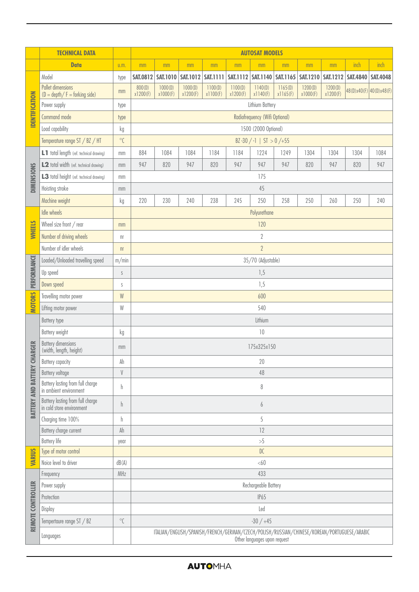|                            | <b>TECHNICAL DATA</b>                                         |                          | <b>AUTOSAT MODELS</b>                                                                                                       |                     |                     |                     |                     |                                |                     |                     |                     |                         |                 |  |
|----------------------------|---------------------------------------------------------------|--------------------------|-----------------------------------------------------------------------------------------------------------------------------|---------------------|---------------------|---------------------|---------------------|--------------------------------|---------------------|---------------------|---------------------|-------------------------|-----------------|--|
|                            | <b>Data</b>                                                   | U.m.                     | mm<br>mm<br>mm<br>mm<br>mm<br>mm<br>mm<br>mm                                                                                |                     |                     |                     |                     | mm                             | inch                | inch                |                     |                         |                 |  |
| <b>IDENTIFICATION</b>      | Model                                                         | type                     | <b>SAT.0812</b>                                                                                                             | SAT.1010            | <b>SAT.1012</b>     | <b>SAT.1111</b>     | <b>SAT.1112</b>     | <b>SAT.1140</b>                |                     | SAT.1165   SAT.1210 | SAT.1212 SAT.4840   |                         | <b>SAT.4048</b> |  |
|                            | <b>Pallet dimensions</b><br>$(D = depth / F = forking side)$  | mm                       | 800(D)<br>x1200(F)                                                                                                          | 1000(D)<br>x1000(F) | 1000(D)<br>x1200(F) | 1100(D)<br>x1100(F) | 1100(D)<br>x1200(F) | 1140(D)<br>x1140(F)            | 1165(D)<br>x1165(F) | 1200(D)<br>x1000(F) | 1200(D)<br>x1200(F) | 48(D)x40(F) 40(D)x48(F) |                 |  |
|                            | Power supply                                                  | type                     | Lithium Battery                                                                                                             |                     |                     |                     |                     |                                |                     |                     |                     |                         |                 |  |
|                            | Command mode                                                  | type                     |                                                                                                                             |                     |                     |                     |                     | Radiofrequency (Wifi Optional) |                     |                     |                     |                         |                 |  |
|                            | Load capability                                               | $\mathsf{k}\mathsf{g}$   | 1500 (2000 Optional)                                                                                                        |                     |                     |                     |                     |                                |                     |                     |                     |                         |                 |  |
|                            | Temperature range ST / BZ / HT                                | $^{\circ}{\mathfrak{C}}$ | BZ -30 / -1   ST > 0 / +55                                                                                                  |                     |                     |                     |                     |                                |                     |                     |                     |                         |                 |  |
|                            | L1 total length (ref. technical drawing)                      | mm                       | 884                                                                                                                         | 1084                | 1084                | 1184                | 1184                | 1224                           | 1249                | 1304                | 1304                | 1304                    | 1084            |  |
|                            | L2 total width (ref. technical drawing)                       | mm                       | 947                                                                                                                         | 820                 | 947                 | 820                 | 947                 | 947                            | 947                 | 820                 | 947                 | 820                     | 947             |  |
| <b>DIMENSIONS</b>          | L3 total height (ref. technical drawing)                      | mm                       | 175                                                                                                                         |                     |                     |                     |                     |                                |                     |                     |                     |                         |                 |  |
|                            | Hoisting stroke                                               | mm                       | 45                                                                                                                          |                     |                     |                     |                     |                                |                     |                     |                     |                         |                 |  |
|                            | Machine weight                                                | kg                       | 220                                                                                                                         | 230                 | 240                 | 238                 | 245                 | 250                            | 258                 | 250                 | 260                 | 250                     | 240             |  |
|                            | <b>Idle wheels</b>                                            |                          | Polyurethane                                                                                                                |                     |                     |                     |                     |                                |                     |                     |                     |                         |                 |  |
| WHEELS                     | Wheel size front / rear                                       | mm                       | 120                                                                                                                         |                     |                     |                     |                     |                                |                     |                     |                     |                         |                 |  |
|                            | Number of driving wheels                                      | nr                       |                                                                                                                             | $\sqrt{2}$          |                     |                     |                     |                                |                     |                     |                     |                         |                 |  |
|                            | Number of idler wheels                                        | n <sub>r</sub>           | $\overline{2}$                                                                                                              |                     |                     |                     |                     |                                |                     |                     |                     |                         |                 |  |
| PERFORMANCE                | Loaded/Unloaded travelling speed                              | m/min                    | 35/70 (Adjustable)                                                                                                          |                     |                     |                     |                     |                                |                     |                     |                     |                         |                 |  |
|                            | Up speed                                                      | $\mathsf S$              | 1,5                                                                                                                         |                     |                     |                     |                     |                                |                     |                     |                     |                         |                 |  |
|                            | Down speed                                                    | S                        | 1,5                                                                                                                         |                     |                     |                     |                     |                                |                     |                     |                     |                         |                 |  |
|                            | Travelling motor power                                        | W                        | 600                                                                                                                         |                     |                     |                     |                     |                                |                     |                     |                     |                         |                 |  |
| <b>MOTORS</b>              | Lifting motor power                                           | W                        | 540                                                                                                                         |                     |                     |                     |                     |                                |                     |                     |                     |                         |                 |  |
|                            | <b>Battery type</b>                                           |                          | Lithium                                                                                                                     |                     |                     |                     |                     |                                |                     |                     |                     |                         |                 |  |
|                            | Battery weight                                                | kg                       | 10                                                                                                                          |                     |                     |                     |                     |                                |                     |                     |                     |                         |                 |  |
| <b>CHARGER</b>             | <b>Battery dimensions</b><br>(width, length, height)          | mm                       | 175x325x150                                                                                                                 |                     |                     |                     |                     |                                |                     |                     |                     |                         |                 |  |
|                            | Battery capacity                                              | Ah                       | 20                                                                                                                          |                     |                     |                     |                     |                                |                     |                     |                     |                         |                 |  |
|                            | Battery voltage                                               | $\mathsf V$              | 48                                                                                                                          |                     |                     |                     |                     |                                |                     |                     |                     |                         |                 |  |
|                            | Battery lasting from full charge<br>in ambient environment    | h                        | $\, 8$                                                                                                                      |                     |                     |                     |                     |                                |                     |                     |                     |                         |                 |  |
| <b>BATTERY AND BATTERY</b> | Battery lasting from full charge<br>in cold store environment | h                        | 6                                                                                                                           |                     |                     |                     |                     |                                |                     |                     |                     |                         |                 |  |
|                            | Charging time 100%                                            | h                        | 5                                                                                                                           |                     |                     |                     |                     |                                |                     |                     |                     |                         |                 |  |
|                            | Battery charge current                                        | Ah                       |                                                                                                                             |                     |                     |                     |                     | 12                             |                     |                     |                     |                         |                 |  |
|                            | <b>Battery</b> life                                           | year                     |                                                                                                                             |                     |                     |                     |                     | $>\!\!5$                       |                     |                     |                     |                         |                 |  |
| <b>VARIUS</b>              | Type of motor control                                         |                          |                                                                                                                             |                     |                     |                     |                     | DC                             |                     |                     |                     |                         |                 |  |
|                            | Noice level to driver                                         | dB(A)                    | &50                                                                                                                         |                     |                     |                     |                     |                                |                     |                     |                     |                         |                 |  |
|                            | Frequency                                                     | MHz                      | 433                                                                                                                         |                     |                     |                     |                     |                                |                     |                     |                     |                         |                 |  |
|                            | Power supply                                                  |                          | Rechargeable Battery                                                                                                        |                     |                     |                     |                     |                                |                     |                     |                     |                         |                 |  |
|                            | Protection                                                    |                          | <b>IP65</b>                                                                                                                 |                     |                     |                     |                     |                                |                     |                     |                     |                         |                 |  |
|                            | Display                                                       |                          | Led                                                                                                                         |                     |                     |                     |                     |                                |                     |                     |                     |                         |                 |  |
| REMOTE CONTROLLER          | Tempertaure range ST / BZ                                     | $^{\circ}{\mathcal{C}}$  | $-30/+45$                                                                                                                   |                     |                     |                     |                     |                                |                     |                     |                     |                         |                 |  |
|                            | Languages                                                     |                          | ITALIAN/ENGLISH/SPANISH/FRENCH/GERMAN/CZECH/POLISH/RUSSIAN/CHINESE/KOREAN/PORTUGUESE/ARABIC<br>Other languages upon request |                     |                     |                     |                     |                                |                     |                     |                     |                         |                 |  |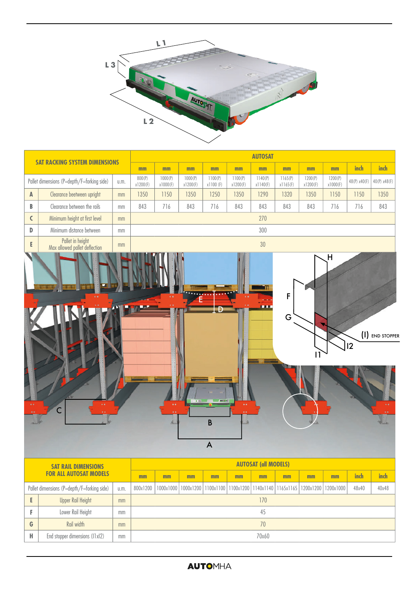

| <b>SAT RACKING SYSTEM DIMENSIONS</b>                                                                                                                                   |                               |    | <b>AUTOSAT</b>     |                     |                     |                         |                     |                     |                     |                     |                     |              |              |
|------------------------------------------------------------------------------------------------------------------------------------------------------------------------|-------------------------------|----|--------------------|---------------------|---------------------|-------------------------|---------------------|---------------------|---------------------|---------------------|---------------------|--------------|--------------|
|                                                                                                                                                                        |                               |    | mm                 | mm                  | mm                  | mm                      | mm                  | mm                  | mm                  | mm                  | mm                  | inch         | inch         |
| Pallet dimensions (P=depth/F=forking side)<br>u.m.                                                                                                                     |                               |    | 800(P)<br>x1200(F) | 1000(P)<br>x1000(F) | 1000(P)<br>x1200(F) | 1100(P)<br>x1100 (F)    | 1100(P)<br>x1200(F) | 1140(P)<br>x1140(F) | 1165(P)<br>x1165(F) | 1200(P)<br>x1200(F) | 1200(P)<br>x1000(F) | 48(P) x40(F) | 40(P) x48(F) |
| $\mathbf{A}$                                                                                                                                                           | Clearance beetween upright    | mm | 1350               | 1150                | 1350                | 1250                    | 1350                | 1290                | 1320                | 1350                | 1150                | 1150         | 1350         |
| $\, {\bf B}$                                                                                                                                                           | Clearance between the rails   | mm | 843                | 716                 | 843                 | 716                     | 843                 | 843                 | 843                 | 843                 | 716                 | 716          | 843          |
| $\mathsf{C}$                                                                                                                                                           | Minimum height at first level | mm |                    | 270                 |                     |                         |                     |                     |                     |                     |                     |              |              |
| D                                                                                                                                                                      | Minimum distance between      | mm |                    |                     |                     |                         |                     | 300                 |                     |                     |                     |              |              |
| E                                                                                                                                                                      |                               | mm |                    | 30                  |                     |                         |                     |                     |                     |                     |                     |              |              |
| Pallet in height<br>Max allowed pallet deflection<br>$\mathsf{H}$<br><b>F 1977</b><br>$\mathsf{F}$<br>1,000<br>G<br> 2<br><b>ANTIQUES</b><br>$\overline{C}$<br>B<br>Â. |                               |    |                    |                     |                     |                         |                     |                     |                     |                     | (I) END STOPPER     |              |              |
|                                                                                                                                                                        |                               |    |                    |                     |                     | $\overline{\mathsf{A}}$ |                     |                     |                     |                     |                     |              |              |

| <b>SAT RAIL DIMENSIONS</b><br><b>FOR ALL AUTOSAT MODELS</b> |                                |    | <b>AUTOSAT (all MODELS)</b> |     |    |    |                                                                                               |    |    |    |    |       |       |  |
|-------------------------------------------------------------|--------------------------------|----|-----------------------------|-----|----|----|-----------------------------------------------------------------------------------------------|----|----|----|----|-------|-------|--|
|                                                             |                                |    | mm                          | mm  | mm | mm | mm                                                                                            | mm | mm | mm | mm | inch  | inch  |  |
| Pallet dimensions (P=depth/F=forking side)<br>U.m.          |                                |    | 800x1200                    |     |    |    | 1000x1000   1000x1200   1100x1100   1100x1200   1140x1140   1165x1165   1200x1200   1200x1000 |    |    |    |    | 48x40 | 40x48 |  |
|                                                             | <b>Upper Rail Height</b>       | mm |                             | 170 |    |    |                                                                                               |    |    |    |    |       |       |  |
|                                                             | Lower Rail Height              | mm |                             | 45  |    |    |                                                                                               |    |    |    |    |       |       |  |
| G                                                           | Rail width                     | mm |                             | 70  |    |    |                                                                                               |    |    |    |    |       |       |  |
| н                                                           | End stopper dimensions (I1xI2) | mm | 70x60                       |     |    |    |                                                                                               |    |    |    |    |       |       |  |

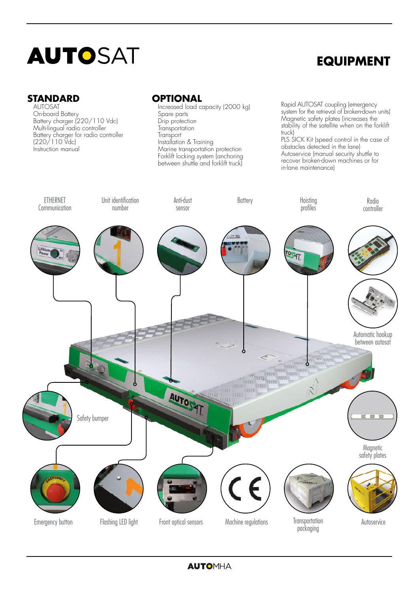# **AUTO**SAT

# **EQUIPMENT**

### **STANDARD**

AUTOSAT On-board Battery Battery charger (220/110 Vdc) Multi-lingual radio controller Battery charger for radio controller (220/110 Vdc) Instruction manual

### **OPTIONAL**

Increased load capacity (2000 kg) Spare parts Drip protection Transportation Transport Installation & Training Marine transportation protection Forklift locking system (anchoring between shuttle and forklift truck)

Rapid AUTOSAT coupling (emergency system for the retrieval of broken-down units) Magnetic safety plates (increases the stability of the satellite when on the forklift truck)

PLS SICK Kit (speed control in the case of obstacles detected in the lane) Autoservice (manual security shuttle to recover broken-down machines or for in-lane maintenance)